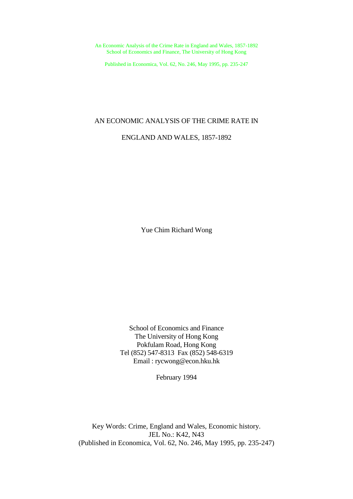Published in Economica, Vol. 62, No. 246, May 1995, pp. 235-247

## AN ECONOMIC ANALYSIS OF THE CRIME RATE IN

# ENGLAND AND WALES, 1857-1892

Yue Chim Richard Wong

School of Economics and Finance The University of Hong Kong Pokfulam Road, Hong Kong Tel (852) 547-8313 Fax (852) 548-6319 Email : rycwong@econ.hku.hk

February 1994

Key Words: Crime, England and Wales, Economic history. JEL No.: K42, N43 (Published in Economica, Vol. 62, No. 246, May 1995, pp. 235-247)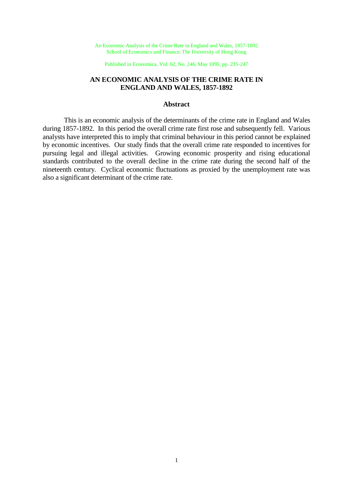Published in Economica, Vol. 62, No. 246, May 1995, pp. 235-247

# **AN ECONOMIC ANALYSIS OF THE CRIME RATE IN ENGLAND AND WALES, 1857-1892**

### **Abstract**

This is an economic analysis of the determinants of the crime rate in England and Wales during 1857-1892. In this period the overall crime rate first rose and subsequently fell. Various analysts have interpreted this to imply that criminal behaviour in this period cannot be explained by economic incentives. Our study finds that the overall crime rate responded to incentives for pursuing legal and illegal activities. Growing economic prosperity and rising educational standards contributed to the overall decline in the crime rate during the second half of the nineteenth century. Cyclical economic fluctuations as proxied by the unemployment rate was also a significant determinant of the crime rate.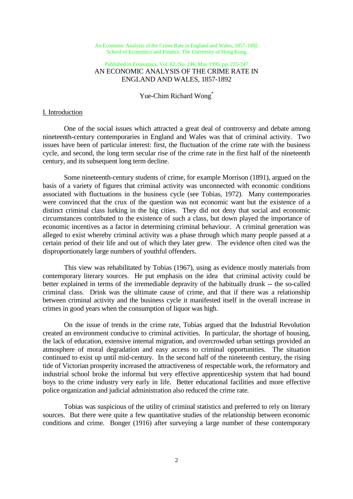## Published in Economica, Vol. 62, No. 246, May 1995, pp. 235-247 AN ECONOMIC ANALYSIS OF THE CRIME RATE IN ENGLAND AND WALES, 1857-1892

Yue-Chim Richard Wong\*

#### I. Introduction

One of the social issues which attracted a great deal of controversy and debate among nineteenth-century contemporaries in England and Wales was that of criminal activity. Two issues have been of particular interest: first, the fluctuation of the crime rate with the business cycle, and second, the long term secular rise of the crime rate in the first half of the nineteenth century, and its subsequent long term decline.

Some nineteenth-century students of crime, for example Morrison (1891), argued on the basis of a variety of figures that criminal activity was unconnected with economic conditions associated with fluctuations in the business cycle (see Tobias, 1972). Many contemporaries were convinced that the crux of the question was not economic want but the existence of a distinct criminal class lurking in the big cities. They did not deny that social and economic circumstances contributed to the existence of such a class, but down played the importance of economic incentives as a factor in determining criminal behaviour. A criminal generation was alleged to exist whereby criminal activity was a phase through which many people passed at a certain period of their life and out of which they later grew. The evidence often cited was the disproportionately large numbers of youthful offenders.

This view was rehabilitated by Tobias (1967), using as evidence mostly materials from contemporary literary sources. He put emphasis on the idea that criminal activity could be better explained in terms of the irremediable depravity of the habitually drunk -- the so-called criminal class. Drink was the ultimate cause of crime, and that if there was a relationship between criminal activity and the business cycle it manifested itself in the overall increase in crimes in good years when the consumption of liquor was high.

On the issue of trends in the crime rate, Tobias argued that the Industrial Revolution created an environment conducive to criminal activities. In particular, the shortage of housing, the lack of education, extensive internal migration, and overcrowded urban settings provided an atmosphere of moral degradation and easy access to criminal opportunities. The situation continued to exist up until mid-century. In the second half of the nineteenth century, the rising tide of Victorian prosperity increased the attractiveness of respectable work, the reformatory and industrial school broke the informal but very effective apprenticeship system that had bound boys to the crime industry very early in life. Better educational facilities and more effective police organization and judicial administration also reduced the crime rate.

Tobias was suspicious of the utility of criminal statistics and preferred to rely on literary sources. But there were quite a few quantitative studies of the relationship between economic conditions and crime. Bonger (1916) after surveying a large number of these contemporary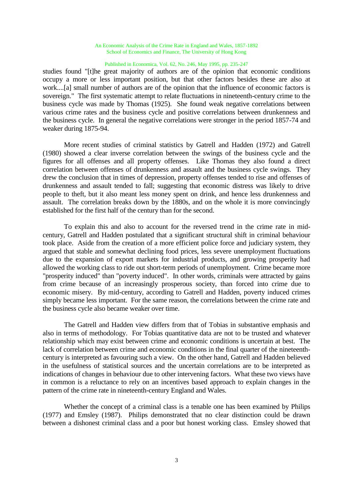### Published in Economica, Vol. 62, No. 246, May 1995, pp. 235-247

studies found "[t]he great majority of authors are of the opinion that economic conditions occupy a more or less important position, but that other factors besides these are also at work....[a] small number of authors are of the opinion that the influence of economic factors is sovereign." The first systematic attempt to relate fluctuations in nineteenth-century crime to the business cycle was made by Thomas (1925). She found weak negative correlations between various crime rates and the business cycle and positive correlations between drunkenness and the business cycle. In general the negative correlations were stronger in the period 1857-74 and weaker during 1875-94.

More recent studies of criminal statistics by Gatrell and Hadden (1972) and Gatrell (1980) showed a clear inverse correlation between the swings of the business cycle and the figures for all offenses and all property offenses. Like Thomas they also found a direct correlation between offenses of drunkenness and assault and the business cycle swings. They drew the conclusion that in times of depression, property offenses tended to rise and offenses of drunkenness and assault tended to fall; suggesting that economic distress was likely to drive people to theft, but it also meant less money spent on drink, and hence less drunkenness and assault. The correlation breaks down by the 1880s, and on the whole it is more convincingly established for the first half of the century than for the second.

To explain this and also to account for the reversed trend in the crime rate in midcentury, Gatrell and Hadden postulated that a significant structural shift in criminal behaviour took place. Aside from the creation of a more efficient police force and judiciary system, they argued that stable and somewhat declining food prices, less severe unemployment fluctuations due to the expansion of export markets for industrial products, and growing prosperity had allowed the working class to ride out short-term periods of unemployment. Crime became more "prosperity induced" than "poverty induced". In other words, criminals were attracted by gains from crime because of an increasingly prosperous society, than forced into crime due to economic misery. By mid-century, according to Gatrell and Hadden, poverty induced crimes simply became less important. For the same reason, the correlations between the crime rate and the business cycle also became weaker over time.

The Gatrell and Hadden view differs from that of Tobias in substantive emphasis and also in terms of methodology. For Tobias quantitative data are not to be trusted and whatever relationship which may exist between crime and economic conditions is uncertain at best. The lack of correlation between crime and economic conditions in the final quarter of the nineteenthcentury is interpreted as favouring such a view. On the other hand, Gatrell and Hadden believed in the usefulness of statistical sources and the uncertain correlations are to be interpreted as indications of changes in behaviour due to other intervening factors. What these two views have in common is a reluctance to rely on an incentives based approach to explain changes in the pattern of the crime rate in nineteenth-century England and Wales.

Whether the concept of a criminal class is a tenable one has been examined by Philips (1977) and Emsley (1987). Philips demonstrated that no clear distinction could be drawn between a dishonest criminal class and a poor but honest working class. Emsley showed that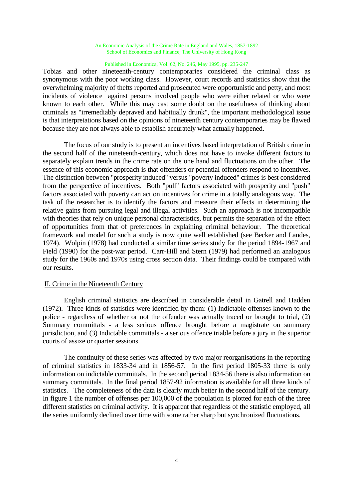### Published in Economica, Vol. 62, No. 246, May 1995, pp. 235-247

Tobias and other nineteenth-century contemporaries considered the criminal class as synonymous with the poor working class. However, court records and statistics show that the overwhelming majority of thefts reported and prosecuted were opportunistic and petty, and most incidents of violence against persons involved people who were either related or who were known to each other. While this may cast some doubt on the usefulness of thinking about criminals as "irremediably depraved and habitually drunk", the important methodological issue is that interpretations based on the opinions of nineteenth century contemporaries may be flawed because they are not always able to establish accurately what actually happened.

The focus of our study is to present an incentives based interpretation of British crime in the second half of the nineteenth-century, which does not have to invoke different factors to separately explain trends in the crime rate on the one hand and fluctuations on the other. The essence of this economic approach is that offenders or potential offenders respond to incentives. The distinction between "prosperity induced" versus "poverty induced" crimes is best considered from the perspective of incentives. Both "pull" factors associated with prosperity and "push" factors associated with poverty can act on incentives for crime in a totally analogous way. The task of the researcher is to identify the factors and measure their effects in determining the relative gains from pursuing legal and illegal activities. Such an approach is not incompatible with theories that rely on unique personal characteristics, but permits the separation of the effect of opportunities from that of preferences in explaining criminal behaviour. The theoretical framework and model for such a study is now quite well established (see Becker and Landes, 1974). Wolpin (1978) had conducted a similar time series study for the period 1894-1967 and Field (1990) for the post-war period. Carr-Hill and Stern (1979) had performed an analogous study for the 1960s and 1970s using cross section data. Their findings could be compared with our results.

## II. Crime in the Nineteenth Century

English criminal statistics are described in considerable detail in Gatrell and Hadden (1972). Three kinds of statistics were identified by them: (1) Indictable offenses known to the police - regardless of whether or not the offender was actually traced or brought to trial, (2) Summary committals - a less serious offence brought before a magistrate on summary jurisdiction, and (3) Indictable committals - a serious offence triable before a jury in the superior courts of assize or quarter sessions.

The continuity of these series was affected by two major reorganisations in the reporting of criminal statistics in 1833-34 and in 1856-57. In the first period 1805-33 there is only information on indictable committals. In the second period 1834-56 there is also information on summary committals. In the final period 1857-92 information is available for all three kinds of statistics. The completeness of the data is clearly much better in the second half of the century. In figure 1 the number of offenses per 100,000 of the population is plotted for each of the three different statistics on criminal activity. It is apparent that regardless of the statistic employed, all the series uniformly declined over time with some rather sharp but synchronized fluctuations.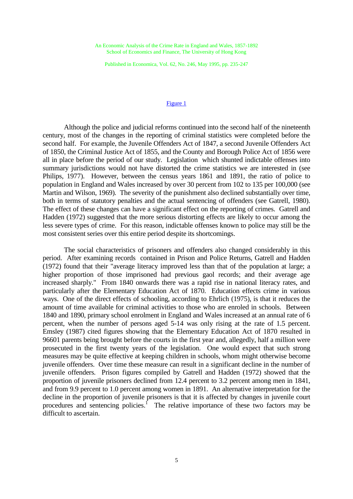Published in Economica, Vol. 62, No. 246, May 1995, pp. 235-247

#### [Figure 1](http://www.econ.hku.hk/~rycwong/personal/images/UKcrime/figure1.pdf)

Although the police and judicial reforms continued into the second half of the nineteenth century, most of the changes in the reporting of criminal statistics were completed before the second half. For example, the Juvenile Offenders Act of 1847, a second Juvenile Offenders Act of 1850, the Criminal Justice Act of 1855, and the County and Borough Police Act of 1856 were all in place before the period of our study. Legislation which shunted indictable offenses into summary jurisdictions would not have distorted the crime statistics we are interested in (see Philips, 1977). However, between the census years 1861 and 1891, the ratio of police to population in England and Wales increased by over 30 percent from 102 to 135 per 100,000 (see Martin and Wilson, 1969). The severity of the punishment also declined substantially over time, both in terms of statutory penalties and the actual sentencing of offenders (see Gatrell, 1980). The effect of these changes can have a significant effect on the reporting of crimes. Gatrell and Hadden (1972) suggested that the more serious distorting effects are likely to occur among the less severe types of crime. For this reason, indictable offenses known to police may still be the most consistent series over this entire period despite its shortcomings.

The social characteristics of prisoners and offenders also changed considerably in this period. After examining records contained in Prison and Police Returns, Gatrell and Hadden (1972) found that their "average literacy improved less than that of the population at large; a higher proportion of those imprisoned had previous gaol records; and their average age increased sharply." From 1840 onwards there was a rapid rise in national literacy rates, and particularly after the Elementary Education Act of 1870. Education effects crime in various ways. One of the direct effects of schooling, according to Ehrlich (1975), is that it reduces the amount of time available for criminal activities to those who are enroled in schools. Between 1840 and 1890, primary school enrolment in England and Wales increased at an annual rate of 6 percent, when the number of persons aged 5-14 was only rising at the rate of 1.5 percent. Emsley (1987) cited figures showing that the Elementary Education Act of 1870 resulted in 96601 parents being brought before the courts in the first year and, allegedly, half a million were prosecuted in the first twenty years of the legislation. One would expect that such strong measures may be quite effective at keeping children in schools, whom might otherwise become juvenile offenders. Over time these measure can result in a significant decline in the number of juvenile offenders. Prison figures compiled by Gatrell and Hadden (1972) showed that the proportion of juvenile prisoners declined from 12.4 percent to 3.2 percent among men in 1841, and from 9.9 percent to 1.0 percent among women in 1891. An alternative interpretation for the decline in the proportion of juvenile prisoners is that it is affected by changes in juvenile court procedures and sentencing policies.<sup>1</sup> The relative importance of these two factors may be difficult to ascertain.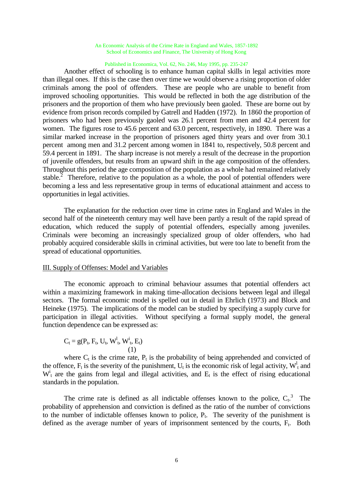### Published in Economica, Vol. 62, No. 246, May 1995, pp. 235-247

Another effect of schooling is to enhance human capital skills in legal activities more than illegal ones. If this is the case then over time we would observe a rising proportion of older criminals among the pool of offenders. These are people who are unable to benefit from improved schooling opportunities. This would be reflected in both the age distribution of the prisoners and the proportion of them who have previously been gaoled. These are borne out by evidence from prison records compiled by Gatrell and Hadden (1972). In 1860 the proportion of prisoners who had been previously gaoled was 26.1 percent from men and 42.4 percent for women. The figures rose to 45.6 percent and 63.0 percent, respectively, in 1890. There was a similar marked increase in the proportion of prisoners aged thirty years and over from 30.1 percent among men and 31.2 percent among women in 1841 to, respectively, 50.8 percent and 59.4 percent in 1891. The sharp increase is not merely a result of the decrease in the proportion of juvenile offenders, but results from an upward shift in the age composition of the offenders. Throughout this period the age composition of the population as a whole had remained relatively stable.<sup>2</sup> Therefore, relative to the population as a whole, the pool of potential offenders were becoming a less and less representative group in terms of educational attainment and access to opportunities in legal activities.

The explanation for the reduction over time in crime rates in England and Wales in the second half of the nineteenth century may well have been partly a result of the rapid spread of education, which reduced the supply of potential offenders, especially among juveniles. Criminals were becoming an increasingly specialized group of older offenders, who had probably acquired considerable skills in criminal activities, but were too late to benefit from the spread of educational opportunities.

### III. Supply of Offenses: Model and Variables

The economic approach to criminal behaviour assumes that potential offenders act within a maximizing framework in making time-allocation decisions between legal and illegal sectors. The formal economic model is spelled out in detail in Ehrlich (1973) and Block and Heineke (1975). The implications of the model can be studied by specifying a supply curve for participation in illegal activities. Without specifying a formal supply model, the general function dependence can be expressed as:

$$
C_t = g(P_t, F_t, U_t, W_t^l, W_t^i, E_t)
$$
\n(1)

where  $C_t$  is the crime rate,  $P_t$  is the probability of being apprehended and convicted of the offence,  $F_t$  is the severity of the punishment,  $U_t$  is the economic risk of legal activity,  $W_t^l$  and  $W_t^i$  are the gains from legal and illegal activities, and  $E_t$  is the effect of rising educational standards in the population.

The crime rate is defined as all indictable offenses known to the police,  $C_t$ <sup>3</sup>. The probability of apprehension and conviction is defined as the ratio of the number of convictions to the number of indictable offenses known to police,  $P_t$ . The severity of the punishment is defined as the average number of years of imprisonment sentenced by the courts,  $F_t$ . Both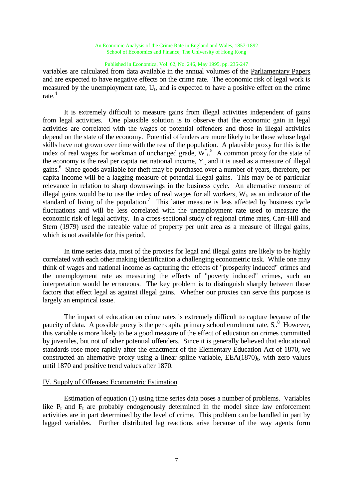#### Published in Economica, Vol. 62, No. 246, May 1995, pp. 235-247

variables are calculated from data available in the annual volumes of the Parliamentary Papers and are expected to have negative effects on the crime rate. The economic risk of legal work is measured by the unemployment rate,  $U_t$ , and is expected to have a positive effect on the crime rate.<sup>4</sup>

It is extremely difficult to measure gains from illegal activities independent of gains from legal activities. One plausible solution is to observe that the economic gain in legal activities are correlated with the wages of potential offenders and those in illegal activities depend on the state of the economy. Potential offenders are more likely to be those whose legal skills have not grown over time with the rest of the population. A plausible proxy for this is the index of real wages for workman of unchanged grade,  $W_{t}^{*}$ . A common proxy for the state of the economy is the real per capita net national income,  $Y_t$  and it is used as a measure of illegal gains.<sup>6</sup> Since goods available for theft may be purchased over a number of years, therefore, per capita income will be a lagging measure of potential illegal gains. This may be of particular relevance in relation to sharp downswings in the business cycle. An alternative measure of illegal gains would be to use the index of real wages for all workers,  $W_t$ , as an indicator of the standard of living of the population.<sup>7</sup> This latter measure is less affected by business cycle fluctuations and will be less correlated with the unemployment rate used to measure the economic risk of legal activity. In a cross-sectional study of regional crime rates, Carr-Hill and Stern (1979) used the rateable value of property per unit area as a measure of illegal gains, which is not available for this period.

In time series data, most of the proxies for legal and illegal gains are likely to be highly correlated with each other making identification a challenging econometric task. While one may think of wages and national income as capturing the effects of "prosperity induced" crimes and the unemployment rate as measuring the effects of "poverty induced" crimes, such an interpretation would be erroneous. The key problem is to distinguish sharply between those factors that effect legal as against illegal gains. Whether our proxies can serve this purpose is largely an empirical issue.

The impact of education on crime rates is extremely difficult to capture because of the paucity of data. A possible proxy is the per capita primary school enrolment rate,  $S_t$ <sup>8</sup>. However, this variable is more likely to be a good measure of the effect of education on crimes committed by juveniles, but not of other potential offenders. Since it is generally believed that educational standards rose more rapidly after the enactment of the Elementary Education Act of 1870, we constructed an alternative proxy using a linear spline variable,  $EEA(1870)$ <sub>t</sub>, with zero values until 1870 and positive trend values after 1870.

## IV. Supply of Offenses: Econometric Estimation

Estimation of equation (1) using time series data poses a number of problems. Variables like  $P_t$  and  $F_t$  are probably endogenously determined in the model since law enforcement activities are in part determined by the level of crime. This problem can be handled in part by lagged variables. Further distributed lag reactions arise because of the way agents form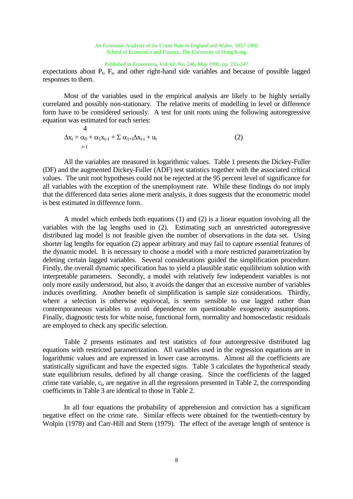### Published in Economica, Vol. 62, No. 246, May 1995, pp. 235-247

expectations about  $P_t$ ,  $F_t$ , and other right-hand side variables and because of possible lagged responses to them.

Most of the variables used in the empirical analysis are likely to be highly serially correlated and possibly non-stationary. The relative merits of modelling in level or difference form have to be considered seriously. A test for unit roots using the following autoregressive equation was estimated for each series:

$$
\Delta x_t = \alpha_0 + \alpha_1 x_{t-1} + \Sigma \alpha_{1+i} \Delta x_{t-i} + u_t
$$
\n(2)

All the variables are measured in logarithmic values. Table 1 presents the Dickey-Fuller (DF) and the augmented Dickey-Fuller (ADF) test statistics together with the associated critical values. The unit root hypotheses could not be rejected at the 95 percent level of significance for all variables with the exception of the unemployment rate. While these findings do not imply that the differenced data series alone merit analysis, it does suggests that the econometric model is best estimated in difference form.

A model which embeds both equations (1) and (2) is a linear equation involving all the variables with the lag lengths used in (2). Estimating such an unrestricted autoregressive distributed lag model is not feasible given the number of observations in the data set. Using shorter lag lengths for equation (2) appear arbitrary and may fail to capture essential features of the dynamic model. It is necessary to choose a model with a more restricted parametrization by deleting certain lagged variables. Several considerations guided the simplification procedure. Firstly, the overall dynamic specification has to yield a plausible static equilibrium solution with interpretable parameters. Secondly, a model with relatively few independent variables is not only more easily understood, but also, it avoids the danger that an excessive number of variables induces overfitting. Another benefit of simplification is sample size considerations. Thirdly, where a selection is otherwise equivocal, is seems sensible to use lagged rather than contemporaneous variables to avoid dependence on questionable exogeneity assumptions. Finally, diagnostic tests for white noise, functional form, normality and homoscedastic residuals are employed to check any specific selection.

Table 2 presents estimates and test statistics of four autoregressive distributed lag equations with restricted parametrization. All variables used in the regression equations are in logarithmic values and are expressed in lower case acronyms. Almost all the coefficients are statistically significant and have the expected signs. Table 3 calculates the hypothetical steady state equilibrium results, defined by all change ceasing. Since the coefficients of the lagged crime rate variable,  $c_t$ , are negative in all the regressions presented in Table 2, the corresponding coefficients in Table 3 are identical to those in Table 2.

In all four equations the probability of apprehension and conviction has a significant negative effect on the crime rate. Similar effects were obtained for the twentieth-century by Wolpin (1978) and Carr-Hill and Stern (1979). The effect of the average length of sentence is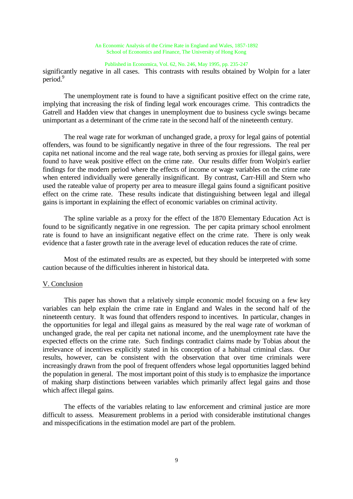Published in Economica, Vol. 62, No. 246, May 1995, pp. 235-247

significantly negative in all cases. This contrasts with results obtained by Wolpin for a later period.<sup>9</sup>

The unemployment rate is found to have a significant positive effect on the crime rate, implying that increasing the risk of finding legal work encourages crime. This contradicts the Gatrell and Hadden view that changes in unemployment due to business cycle swings became unimportant as a determinant of the crime rate in the second half of the nineteenth century.

The real wage rate for workman of unchanged grade, a proxy for legal gains of potential offenders, was found to be significantly negative in three of the four regressions. The real per capita net national income and the real wage rate, both serving as proxies for illegal gains, were found to have weak positive effect on the crime rate. Our results differ from Wolpin's earlier findings for the modern period where the effects of income or wage variables on the crime rate when entered individually were generally insignificant. By contrast, Carr-Hill and Stern who used the rateable value of property per area to measure illegal gains found a significant positive effect on the crime rate. These results indicate that distinguishing between legal and illegal gains is important in explaining the effect of economic variables on criminal activity.

The spline variable as a proxy for the effect of the 1870 Elementary Education Act is found to be significantly negative in one regression. The per capita primary school enrolment rate is found to have an insignificant negative effect on the crime rate. There is only weak evidence that a faster growth rate in the average level of education reduces the rate of crime.

Most of the estimated results are as expected, but they should be interpreted with some caution because of the difficulties inherent in historical data.

### V. Conclusion

This paper has shown that a relatively simple economic model focusing on a few key variables can help explain the crime rate in England and Wales in the second half of the nineteenth century. It was found that offenders respond to incentives. In particular, changes in the opportunities for legal and illegal gains as measured by the real wage rate of workman of unchanged grade, the real per capita net national income, and the unemployment rate have the expected effects on the crime rate. Such findings contradict claims made by Tobias about the irrelevance of incentives explicitly stated in his conception of a habitual criminal class. Our results, however, can be consistent with the observation that over time criminals were increasingly drawn from the pool of frequent offenders whose legal opportunities lagged behind the population in general. The most important point of this study is to emphasize the importance of making sharp distinctions between variables which primarily affect legal gains and those which affect illegal gains.

The effects of the variables relating to law enforcement and criminal justice are more difficult to assess. Measurement problems in a period with considerable institutional changes and misspecifications in the estimation model are part of the problem.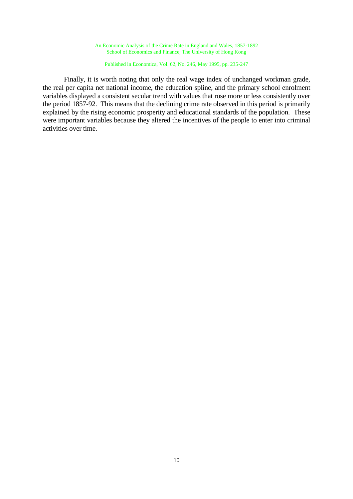Published in Economica, Vol. 62, No. 246, May 1995, pp. 235-247

Finally, it is worth noting that only the real wage index of unchanged workman grade, the real per capita net national income, the education spline, and the primary school enrolment variables displayed a consistent secular trend with values that rose more or less consistently over the period 1857-92. This means that the declining crime rate observed in this period is primarily explained by the rising economic prosperity and educational standards of the population. These were important variables because they altered the incentives of the people to enter into criminal activities over time.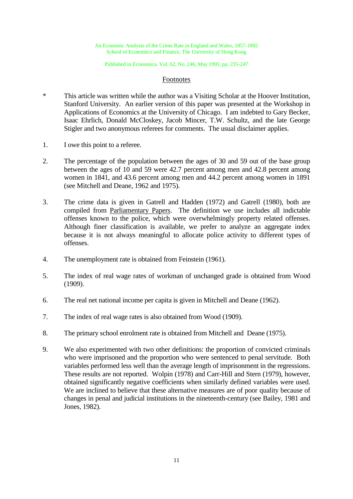Published in Economica, Vol. 62, No. 246, May 1995, pp. 235-247

## Footnotes

- \* This article was written while the author was a Visiting Scholar at the Hoover Institution, Stanford University. An earlier version of this paper was presented at the Workshop in Applications of Economics at the University of Chicago. I am indebted to Gary Becker, Isaac Ehrlich, Donald McCloskey, Jacob Mincer, T.W. Schultz, and the late George Stigler and two anonymous referees for comments. The usual disclaimer applies.
- 1. I owe this point to a referee.
- 2. The percentage of the population between the ages of 30 and 59 out of the base group between the ages of 10 and 59 were 42.7 percent among men and 42.8 percent among women in 1841, and 43.6 percent among men and 44.2 percent among women in 1891 (see Mitchell and Deane, 1962 and 1975).
- 3. The crime data is given in Gatrell and Hadden (1972) and Gatrell (1980), both are compiled from Parliamentary Papers. The definition we use includes all indictable offenses known to the police, which were overwhelmingly property related offenses. Although finer classification is available, we prefer to analyze an aggregate index because it is not always meaningful to allocate police activity to different types of offenses.
- 4. The unemployment rate is obtained from Feinstein (1961).
- 5. The index of real wage rates of workman of unchanged grade is obtained from Wood (1909).
- 6. The real net national income per capita is given in Mitchell and Deane (1962).
- 7. The index of real wage rates is also obtained from Wood (1909).
- 8. The primary school enrolment rate is obtained from Mitchell and Deane (1975).
- 9. We also experimented with two other definitions: the proportion of convicted criminals who were imprisoned and the proportion who were sentenced to penal servitude. Both variables performed less well than the average length of imprisonment in the regressions. These results are not reported. Wolpin (1978) and Carr-Hill and Stern (1979), however, obtained significantly negative coefficients when similarly defined variables were used. We are inclined to believe that these alternative measures are of poor quality because of changes in penal and judicial institutions in the nineteenth-century (see Bailey, 1981 and Jones, 1982).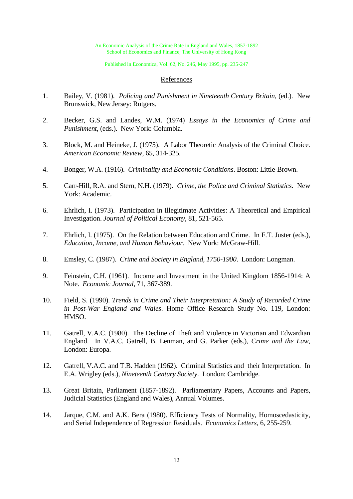Published in Economica, Vol. 62, No. 246, May 1995, pp. 235-247

### References

- 1. Bailey, V. (1981). *Policing and Punishment in Nineteenth Century Britain*, (ed.). New Brunswick, New Jersey: Rutgers.
- 2. Becker, G.S. and Landes, W.M. (1974) *Essays in the Economics of Crime and Punishment*, (eds.). New York: Columbia.
- 3. Block, M. and Heineke, J. (1975). A Labor Theoretic Analysis of the Criminal Choice. *American Economic Review*, 65, 314-325.
- 4. Bonger, W.A. (1916). *Criminality and Economic Conditions*. Boston: Little-Brown.
- 5. Carr-Hill, R.A. and Stern, N.H. (1979). *Crime, the Police and Criminal Statistics*. New York: Academic.
- 6. Ehrlich, I. (1973). Participation in Illegitimate Activities: A Theoretical and Empirical Investigation. *Journal of Political Economy*, 81, 521-565.
- 7. Ehrlich, I. (1975). On the Relation between Education and Crime. In F.T. Juster (eds.), *Education, Income, and Human Behaviour*. New York: McGraw-Hill.
- 8. Emsley, C. (1987). *Crime and Society in England, 1750-1900*. London: Longman.
- 9. Feinstein, C.H. (1961). Income and Investment in the United Kingdom 1856-1914: A Note. *Economic Journal*, 71, 367-389.
- 10. Field, S. (1990). *Trends in Crime and Their Interpretation: A Study of Recorded Crime in Post-War England and Wales*. Home Office Research Study No. 119, London: HMSO.
- 11. Gatrell, V.A.C. (1980). The Decline of Theft and Violence in Victorian and Edwardian England. In V.A.C. Gatrell, B. Lenman, and G. Parker (eds.), *Crime and the Law*, London: Europa.
- 12. Gatrell, V.A.C. and T.B. Hadden (1962). Criminal Statistics and their Interpretation. In E.A. Wrigley (eds.), *Nineteenth Century Society*. London: Cambridge.
- 13. Great Britain, Parliament (1857-1892). Parliamentary Papers, Accounts and Papers, Judicial Statistics (England and Wales), Annual Volumes.
- 14. Jarque, C.M. and A.K. Bera (1980). Efficiency Tests of Normality, Homoscedasticity, and Serial Independence of Regression Residuals. *Economics Letters*, 6, 255-259.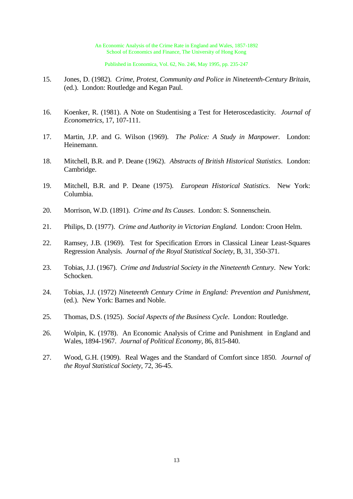Published in Economica, Vol. 62, No. 246, May 1995, pp. 235-247

- 15. Jones, D. (1982). *Crime, Protest, Community and Police in Nineteenth-Century Britain*, (ed.). London: Routledge and Kegan Paul.
- 16. Koenker, R. (1981). A Note on Studentising a Test for Heteroscedasticity. *Journal of Econometrics*, 17, 107-111.
- 17. Martin, J.P. and G. Wilson (1969). *The Police: A Study in Manpower*. London: Heinemann.
- 18. Mitchell, B.R. and P. Deane (1962). *Abstracts of British Historical Statistics*. London: Cambridge.
- 19. Mitchell, B.R. and P. Deane (1975). *European Historical Statistics*. New York: Columbia.
- 20. Morrison, W.D. (1891). *Crime and Its Causes*. London: S. Sonnenschein.
- 21. Philips, D. (1977). *Crime and Authority in Victorian England*. London: Croon Helm.
- 22. Ramsey, J.B. (1969). Test for Specification Errors in Classical Linear Least-Squares Regression Analysis. *Journal of the Royal Statistical Society*, B, 31, 350-371.
- 23. Tobias, J.J. (1967). *Crime and Industrial Society in the Nineteenth Century*. New York: Schocken.
- 24. Tobias, J.J. (1972) *Nineteenth Century Crime in England: Prevention and Punishment*, (ed.). New York: Barnes and Noble.
- 25. Thomas, D.S. (1925). *Social Aspects of the Business Cycle*. London: Routledge.
- 26. Wolpin, K. (1978). An Economic Analysis of Crime and Punishment in England and Wales, 1894-1967. *Journal of Political Economy*, 86, 815-840.
- 27. Wood, G.H. (1909). Real Wages and the Standard of Comfort since 1850. *Journal of the Royal Statistical Society*, 72, 36-45.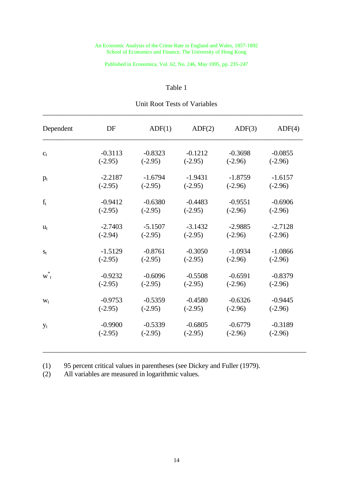Published in Economica, Vol. 62, No. 246, May 1995, pp. 235-247

# Table 1

| Dependent | DF        | ADF(1)    | ADF(2)    | ADF(3)    | ADF(4)    |
|-----------|-----------|-----------|-----------|-----------|-----------|
| $c_{t}$   | $-0.3113$ | $-0.8323$ | $-0.1212$ | $-0.3698$ | $-0.0855$ |
|           | $(-2.95)$ | $(-2.95)$ | $(-2.95)$ | $(-2.96)$ | $(-2.96)$ |
| $p_t$     | $-2.2187$ | $-1.6794$ | $-1.9431$ | $-1.8759$ | $-1.6157$ |
|           | $(-2.95)$ | $(-2.95)$ | $(-2.95)$ | $(-2.96)$ | $(-2.96)$ |
| $f_t$     | $-0.9412$ | $-0.6380$ | $-0.4483$ | $-0.9551$ | $-0.6906$ |
|           | $(-2.95)$ | $(-2.95)$ | $(-2.95)$ | $(-2.96)$ | $(-2.96)$ |
| $u_t$     | $-2.7403$ | $-5.1507$ | $-3.1432$ | $-2.9885$ | $-2.7128$ |
|           | $(-2.94)$ | $(-2.95)$ | $(-2.95)$ | $(-2.96)$ | $(-2.96)$ |
| $S_{t}$   | $-1.5129$ | $-0.8761$ | $-0.3050$ | $-1.0934$ | $-1.0866$ |
|           | $(-2.95)$ | $(-2.95)$ | $(-2.95)$ | $(-2.96)$ | $(-2.96)$ |
| $W_t$     | $-0.9232$ | $-0.6096$ | $-0.5508$ | $-0.6591$ | $-0.8379$ |
|           | $(-2.95)$ | $(-2.95)$ | $(-2.95)$ | $(-2.96)$ | $(-2.96)$ |
| $W_t$     | $-0.9753$ | $-0.5359$ | $-0.4580$ | $-0.6326$ | $-0.9445$ |
|           | $(-2.95)$ | $(-2.95)$ | $(-2.95)$ | $(-2.96)$ | $(-2.96)$ |
| $y_t$     | $-0.9900$ | $-0.5339$ | $-0.6805$ | $-0.6779$ | $-0.3189$ |
|           | $(-2.95)$ | $(-2.95)$ | $(-2.95)$ | $(-2.96)$ | $(-2.96)$ |

# Unit Root Tests of Variables

(1) 95 percent critical values in parentheses (see Dickey and Fuller (1979).<br>(2) All variables are measured in logarithmic values.

All variables are measured in logarithmic values.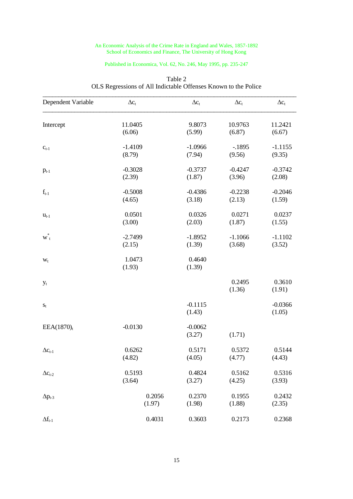## Published in Economica, Vol. 62, No. 246, May 1995, pp. 235-247

| Dependent Variable          | $\Delta c_t$ | $\Delta c_t$ | $\Delta c_t$ | $\Delta c_t$ |
|-----------------------------|--------------|--------------|--------------|--------------|
| Intercept                   | 11.0405      | 9.8073       | 10.9763      | 11.2421      |
|                             | (6.06)       | (5.99)       | (6.87)       | (6.67)       |
| $c_{t-1}$                   | $-1.4109$    | $-1.0966$    | $-1895$      | $-1.1155$    |
|                             | (8.79)       | (7.94)       | (9.56)       | (9.35)       |
| $p_{t-1}$                   | $-0.3028$    | $-0.3737$    | $-0.4247$    | $-0.3742$    |
|                             | (2.39)       | (1.87)       | (3.96)       | (2.08)       |
| $f_{t-1}$                   | $-0.5008$    | $-0.4386$    | $-0.2238$    | $-0.2046$    |
|                             | (4.65)       | (3.18)       | (2.13)       | (1.59)       |
| $\mathbf{u}_{\mathrm{t-1}}$ | 0.0501       | 0.0326       | 0.0271       | 0.0237       |
|                             | (3.00)       | (2.03)       | (1.87)       | (1.55)       |
| $\mathbf{w}^*_{t}$          | $-2.7499$    | $-1.8952$    | $-1.1066$    | $-1.1102$    |
|                             | (2.15)       | (1.39)       | (3.68)       | (3.52)       |
| $W_t$                       | 1.0473       | 0.4640       |              |              |
|                             | (1.93)       | (1.39)       |              |              |
| $y_t$                       |              |              | 0.2495       | 0.3610       |
|                             |              |              | (1.36)       | (1.91)       |
| $\mathbf{S}_\text{t}$       |              | $-0.1115$    |              | $-0.0366$    |
|                             |              | (1.43)       |              | (1.05)       |
| EEA(1870) <sub>t</sub>      | $-0.0130$    | $-0.0062$    |              |              |
|                             |              | (3.27)       | (1.71)       |              |
| $\Delta c_{t-1}$            | 0.6262       | 0.5171       | 0.5372       | 0.5144       |
|                             | (4.82)       | (4.05)       | (4.77)       | (4.43)       |
| $\Delta c_{t\text{-}2}$     | 0.5193       | 0.4824       | 0.5162       | 0.5316       |
|                             | (3.64)       | (3.27)       | (4.25)       | (3.93)       |
| $\Delta p_{t-3}$            | 0.2056       | 0.2370       | 0.1955       | 0.2432       |
|                             | (1.97)       | (1.98)       | (1.88)       | (2.35)       |
| $\Delta f_{t\text{-}1}$     | 0.4031       | 0.3603       | 0.2173       | 0.2368       |

# Table 2 OLS Regressions of All Indictable Offenses Known to the Police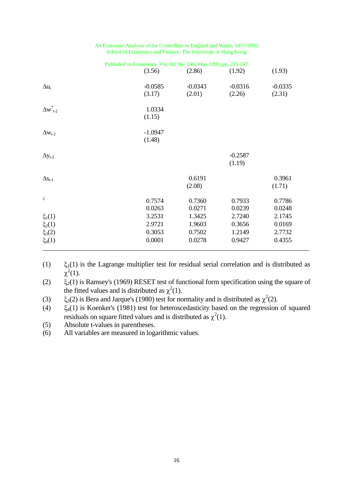| (1.93)<br>$-0.0335$<br>(2.31) |
|-------------------------------|
|                               |
|                               |
|                               |
|                               |
|                               |
|                               |
|                               |
|                               |
|                               |
|                               |
|                               |
| 0.3961                        |
| (1.71)                        |
| 0.7786                        |
| 0.0248                        |
| 2.1745                        |
|                               |
| 0.0169                        |
| 2.7732                        |
| 0.4355                        |
|                               |

(1)  $\xi_1(1)$  is the Lagrange multiplier test for residual serial correlation and is distributed as  $\chi^2(1)$ .

(2)  $\zeta_2(1)$  is Ramsey's (1969) RESET test of functional form specification using the square of the fitted values and is distributed as  $\chi^2(1)$ .

(3)  $\qquad \xi_3(2)$  is Bera and Jarque's (1980) test for normality and is distributed as  $\chi^2(2)$ .

(4)  $\xi_4(1)$  is Koenker's (1981) test for heteroscedasticity based on the regression of squared residuals on square fitted values and is distributed as  $\chi^2(1)$ .

(5) Absolute t-values in parentheses.

(6) All variables are measured in logarithmic values.